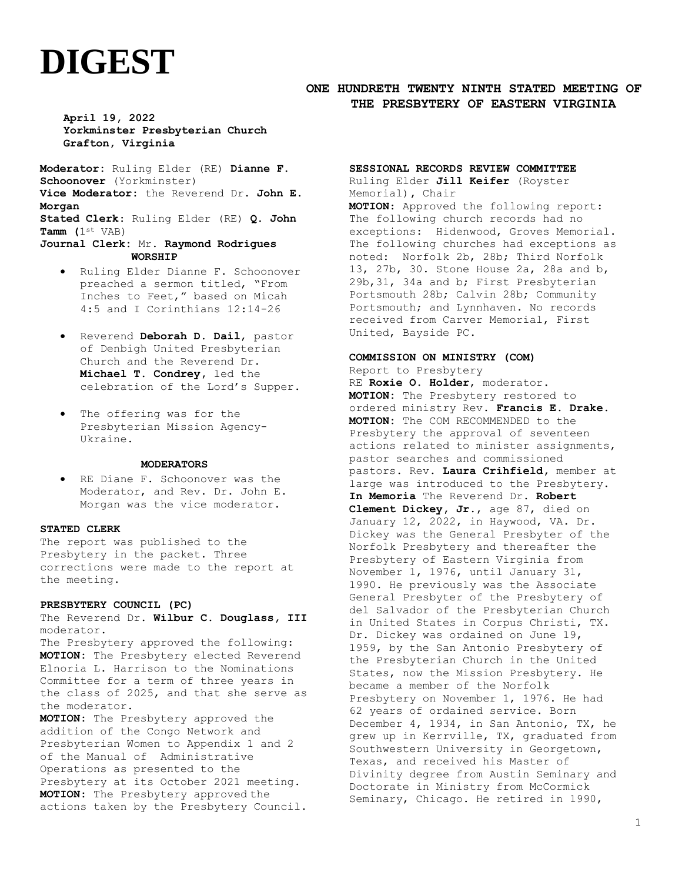# **DIGEST**

# **ONE HUNDRETH TWENTY NINTH STATED MEETING OF THE PRESBYTERY OF EASTERN VIRGINIA**

**April 19, 2022 Yorkminster Presbyterian Church Grafton, Virginia**

**Moderator:** Ruling Elder (RE) **Dianne F. Schoonover** (Yorkminster) **Vice Moderator:** the Reverend Dr. **John E. Morgan Stated Clerk**: Ruling Elder (RE) **Q. John Tamm (**1st VAB) **Journal Clerk:** Mr. **Raymond Rodrigues**

- **WORSHIP**
- Ruling Elder Dianne F. Schoonover preached a sermon titled, "From Inches to Feet," based on Micah 4:5 and I Corinthians 12:14-26
- Reverend **Deborah D. Dail**, pastor of Denbigh United Presbyterian Church and the Reverend Dr. **Michael T. Condrey,** led the celebration of the Lord's Supper.
- The offering was for the Presbyterian Mission Agency-Ukraine**.**

### **MODERATORS**

• RE Diane F. Schoonover was the Moderator, and Rev. Dr. John E. Morgan was the vice moderator.

#### **STATED CLERK**

The report was published to the Presbytery in the packet. Three corrections were made to the report at the meeting.

## **PRESBYTERY COUNCIL (PC)**

The Reverend Dr. **Wilbur C. Douglass, III** moderator.

The Presbytery approved the following: **MOTION:** The Presbytery elected Reverend Elnoria L. Harrison to the Nominations Committee for a term of three years in the class of 2025, and that she serve as the moderator.

**MOTION:** The Presbytery approved the addition of the Congo Network and Presbyterian Women to Appendix 1 and 2 of the Manual of Administrative Operations as presented to the Presbytery at its October 2021 meeting. **MOTION:** The Presbytery approved the actions taken by the Presbytery Council.

# **SESSIONAL RECORDS REVIEW COMMITTEE**

Ruling Elder **Jill Keifer** (Royster Memorial)**,** Chair **MOTION**: Approved the following report: The following church records had no exceptions: Hidenwood, Groves Memorial. The following churches had exceptions as noted: Norfolk 2b, 28b; Third Norfolk 13, 27b, 30. Stone House 2a, 28a and b, 29b,31, 34a and b; First Presbyterian Portsmouth 28b; Calvin 28b; Community Portsmouth; and Lynnhaven. No records received from Carver Memorial, First United, Bayside PC.

## **COMMISSION ON MINISTRY (COM)**

Report to Presbytery RE **Roxie O. Holder**, moderator. **MOTION:** The Presbytery restored to ordered ministry Rev. **Francis E. Drake. MOTION:** The COM RECOMMENDED to the Presbytery the approval of seventeen actions related to minister assignments, pastor searches and commissioned pastors. Rev. **Laura Crihfield,** member at large was introduced to the Presbytery. **In Memoria** The Reverend Dr. **Robert Clement Dickey, Jr**., age 87, died on January 12, 2022, in Haywood, VA. Dr. Dickey was the General Presbyter of the Norfolk Presbytery and thereafter the Presbytery of Eastern Virginia from November 1, 1976, until January 31, 1990. He previously was the Associate General Presbyter of the Presbytery of del Salvador of the Presbyterian Church in United States in Corpus Christi, TX. Dr. Dickey was ordained on June 19, 1959, by the San Antonio Presbytery of the Presbyterian Church in the United States, now the Mission Presbytery. He became a member of the Norfolk Presbytery on November 1, 1976. He had 62 years of ordained service. Born December 4, 1934, in San Antonio, TX, he grew up in Kerrville, TX, graduated from Southwestern University in Georgetown, Texas, and received his Master of Divinity degree from Austin Seminary and Doctorate in Ministry from McCormick Seminary, Chicago. He retired in 1990,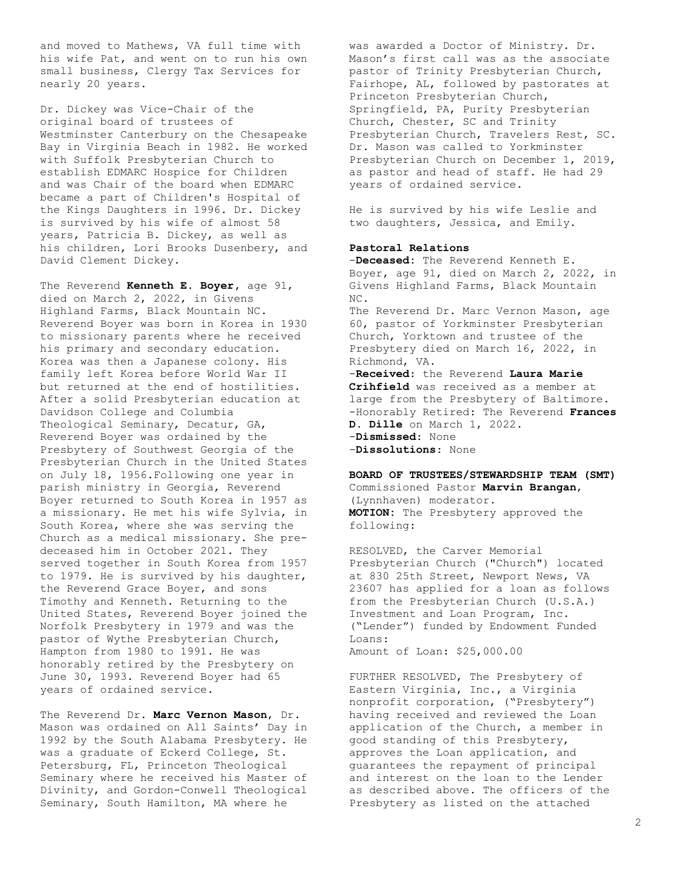and moved to Mathews, VA full time with his wife Pat, and went on to run his own small business, Clergy Tax Services for nearly 20 years.

Dr. Dickey was Vice-Chair of the original board of trustees of Westminster Canterbury on the Chesapeake Bay in Virginia Beach in 1982. He worked with Suffolk Presbyterian Church to establish EDMARC Hospice for Children and was Chair of the board when EDMARC became a part of Children's Hospital of the Kings Daughters in 1996. Dr. Dickey is survived by his wife of almost 58 years, Patricia B. Dickey, as well as his children, Lori Brooks Dusenbery, and David Clement Dickey**.**

The Reverend **Kenneth E. Boyer,** age 91, died on March 2, 2022, in Givens Highland Farms, Black Mountain NC. Reverend Boyer was born in Korea in 1930 to missionary parents where he received his primary and secondary education. Korea was then a Japanese colony. His family left Korea before World War II but returned at the end of hostilities. After a solid Presbyterian education at Davidson College and Columbia Theological Seminary, Decatur, GA, Reverend Boyer was ordained by the Presbytery of Southwest Georgia of the Presbyterian Church in the United States on July 18, 1956.Following one year in parish ministry in Georgia, Reverend Boyer returned to South Korea in 1957 as a missionary. He met his wife Sylvia, in South Korea, where she was serving the Church as a medical missionary. She predeceased him in October 2021. They served together in South Korea from 1957 to 1979. He is survived by his daughter, the Reverend Grace Boyer, and sons Timothy and Kenneth. Returning to the United States, Reverend Boyer joined the Norfolk Presbytery in 1979 and was the pastor of Wythe Presbyterian Church, Hampton from 1980 to 1991. He was honorably retired by the Presbytery on June 30, 1993. Reverend Boyer had 65 years of ordained service.

The Reverend Dr**. Marc Vernon Mason**, Dr. Mason was ordained on All Saints' Day in 1992 by the South Alabama Presbytery. He was a graduate of Eckerd College, St. Petersburg, FL, Princeton Theological Seminary where he received his Master of Divinity, and Gordon-Conwell Theological Seminary, South Hamilton, MA where he

was awarded a Doctor of Ministry. Dr. Mason's first call was as the associate pastor of Trinity Presbyterian Church, Fairhope, AL, followed by pastorates at Princeton Presbyterian Church, Springfield, PA, Purity Presbyterian Church, Chester, SC and Trinity Presbyterian Church, Travelers Rest, SC. Dr. Mason was called to Yorkminster Presbyterian Church on December 1, 2019, as pastor and head of staff. He had 29 years of ordained service.

He is survived by his wife Leslie and two daughters, Jessica, and Emily.

#### **Pastoral Relations**

-**Deceased:** The Reverend Kenneth E. Boyer, age 91, died on March 2, 2022, in Givens Highland Farms, Black Mountain NC. The Reverend Dr. Marc Vernon Mason, age 60, pastor of Yorkminster Presbyterian Church, Yorktown and trustee of the Presbytery died on March 16, 2022, in Richmond, VA. -**Received**: the Reverend **Laura Marie Crihfield** was received as a member at large from the Presbytery of Baltimore. -Honorably Retired: The Reverend **Frances D. Dille** on March 1, 2022. -**Dismissed**: None

-**Dissolutions**: None

**BOARD OF TRUSTEES/STEWARDSHIP TEAM (SMT)** Commissioned Pastor **Marvin Brangan**, (Lynnhaven) moderator. **MOTION:** The Presbytery approved the following:

RESOLVED, the Carver Memorial Presbyterian Church ("Church") located at 830 25th Street, Newport News, VA 23607 has applied for a loan as follows from the Presbyterian Church (U.S.A.) Investment and Loan Program, Inc. ("Lender") funded by Endowment Funded Loans: Amount of Loan: \$25,000.00

FURTHER RESOLVED, The Presbytery of Eastern Virginia, Inc., a Virginia nonprofit corporation, ("Presbytery") having received and reviewed the Loan application of the Church, a member in good standing of this Presbytery, approves the Loan application, and guarantees the repayment of principal and interest on the loan to the Lender as described above. The officers of the Presbytery as listed on the attached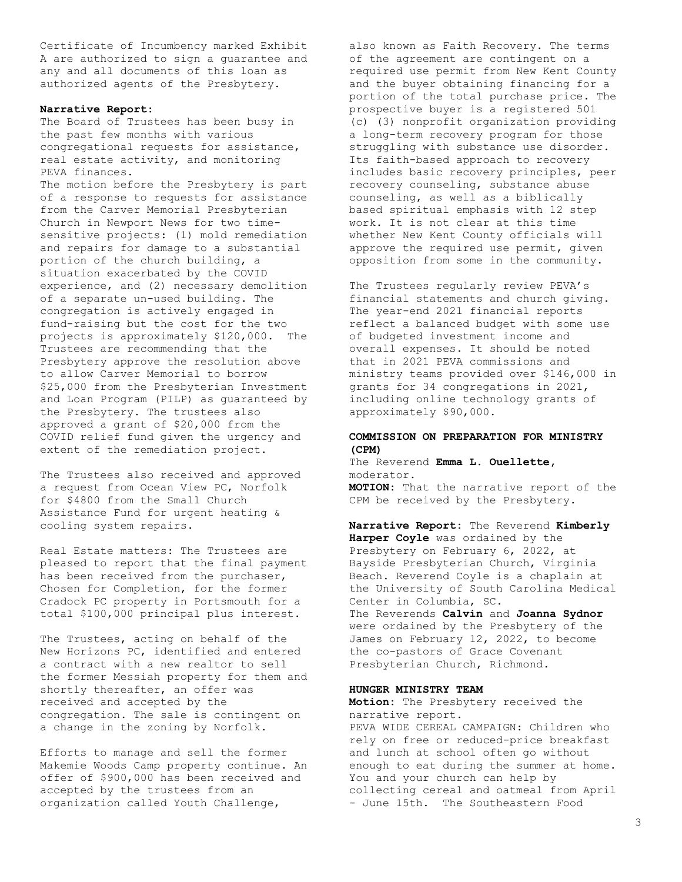Certificate of Incumbency marked Exhibit A are authorized to sign a guarantee and any and all documents of this loan as authorized agents of the Presbytery.

#### **Narrative Report:**

The Board of Trustees has been busy in the past few months with various congregational requests for assistance, real estate activity, and monitoring PEVA finances.

The motion before the Presbytery is part of a response to requests for assistance from the Carver Memorial Presbyterian Church in Newport News for two timesensitive projects: (1) mold remediation and repairs for damage to a substantial portion of the church building, a situation exacerbated by the COVID experience, and (2) necessary demolition of a separate un-used building. The congregation is actively engaged in fund-raising but the cost for the two projects is approximately \$120,000. The Trustees are recommending that the Presbytery approve the resolution above to allow Carver Memorial to borrow \$25,000 from the Presbyterian Investment and Loan Program (PILP) as guaranteed by the Presbytery. The trustees also approved a grant of \$20,000 from the COVID relief fund given the urgency and extent of the remediation project.

The Trustees also received and approved a request from Ocean View PC, Norfolk for \$4800 from the Small Church Assistance Fund for urgent heating & cooling system repairs.

Real Estate matters: The Trustees are pleased to report that the final payment has been received from the purchaser, Chosen for Completion, for the former Cradock PC property in Portsmouth for a total \$100,000 principal plus interest.

The Trustees, acting on behalf of the New Horizons PC, identified and entered a contract with a new realtor to sell the former Messiah property for them and shortly thereafter, an offer was received and accepted by the congregation. The sale is contingent on a change in the zoning by Norfolk.

Efforts to manage and sell the former Makemie Woods Camp property continue. An offer of \$900,000 has been received and accepted by the trustees from an organization called Youth Challenge,

also known as Faith Recovery. The terms of the agreement are contingent on a required use permit from New Kent County and the buyer obtaining financing for a portion of the total purchase price. The prospective buyer is a registered 501 (c) (3) nonprofit organization providing a long-term recovery program for those struggling with substance use disorder. Its faith-based approach to recovery includes basic recovery principles, peer recovery counseling, substance abuse counseling, as well as a biblically based spiritual emphasis with 12 step work. It is not clear at this time whether New Kent County officials will approve the required use permit, given opposition from some in the community.

The Trustees regularly review PEVA's financial statements and church giving. The year-end 2021 financial reports reflect a balanced budget with some use of budgeted investment income and overall expenses. It should be noted that in 2021 PEVA commissions and ministry teams provided over \$146,000 in grants for 34 congregations in 2021, including online technology grants of approximately \$90,000.

## **COMMISSION ON PREPARATION FOR MINISTRY (CPM)**

The Reverend **Emma L. Ouellette,** moderator. **MOTION:** That the narrative report of the CPM be received by the Presbytery**.**

**Narrative Report:** The Reverend **Kimberly Harper Coyle** was ordained by the Presbytery on February 6, 2022, at Bayside Presbyterian Church, Virginia Beach. Reverend Coyle is a chaplain at the University of South Carolina Medical Center in Columbia, SC. The Reverends **Calvin** and **Joanna Sydnor**  were ordained by the Presbytery of the James on February 12, 2022, to become the co-pastors of Grace Covenant Presbyterian Church, Richmond.

## **HUNGER MINISTRY TEAM**

**Motion:** The Presbytery received the narrative report. PEVA WIDE CEREAL CAMPAIGN: Children who rely on free or reduced-price breakfast and lunch at school often go without enough to eat during the summer at home. You and your church can help by collecting cereal and oatmeal from April - June 15th. The Southeastern Food